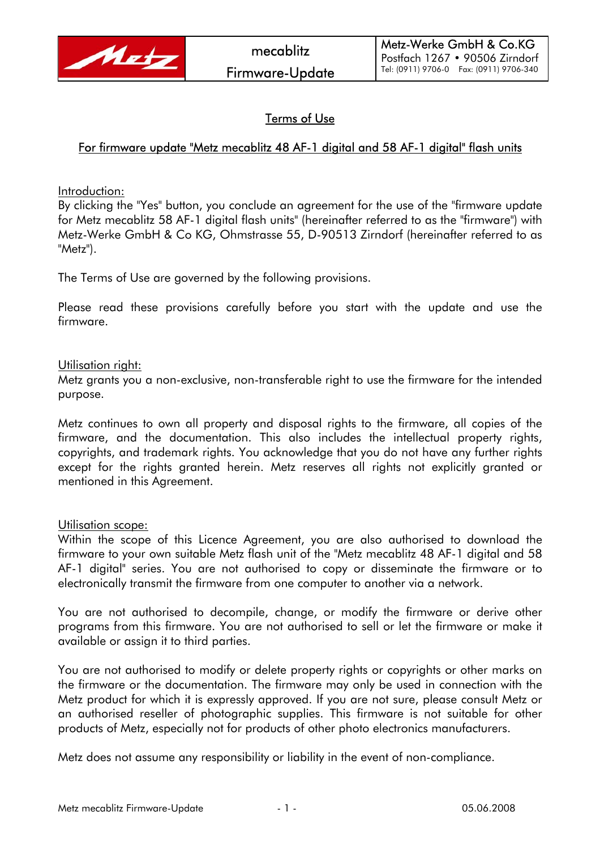

# Terms of Use

## For firmware update "Metz mecablitz 48 AF-1 digital and 58 AF-1 digital" flash units

Introduction:

By clicking the "Yes" button, you conclude an agreement for the use of the "firmware update for Metz mecablitz 58 AF-1 digital flash units" (hereinafter referred to as the "firmware") with Metz-Werke GmbH & Co KG, Ohmstrasse 55, D-90513 Zirndorf (hereinafter referred to as "Metz").

The Terms of Use are governed by the following provisions.

Please read these provisions carefully before you start with the update and use the firmware.

#### Utilisation right:

Metz grants you a non-exclusive, non-transferable right to use the firmware for the intended purpose.

Metz continues to own all property and disposal rights to the firmware, all copies of the firmware, and the documentation. This also includes the intellectual property rights, copyrights, and trademark rights. You acknowledge that you do not have any further rights except for the rights granted herein. Metz reserves all rights not explicitly granted or mentioned in this Agreement.

### Utilisation scope:

Within the scope of this Licence Agreement, you are also authorised to download the firmware to your own suitable Metz flash unit of the "Metz mecablitz 48 AF-1 digital and 58 AF-1 digital" series. You are not authorised to copy or disseminate the firmware or to electronically transmit the firmware from one computer to another via a network.

You are not authorised to decompile, change, or modify the firmware or derive other programs from this firmware. You are not authorised to sell or let the firmware or make it available or assign it to third parties.

You are not authorised to modify or delete property rights or copyrights or other marks on the firmware or the documentation. The firmware may only be used in connection with the Metz product for which it is expressly approved. If you are not sure, please consult Metz or an authorised reseller of photographic supplies. This firmware is not suitable for other products of Metz, especially not for products of other photo electronics manufacturers.

Metz does not assume any responsibility or liability in the event of non-compliance.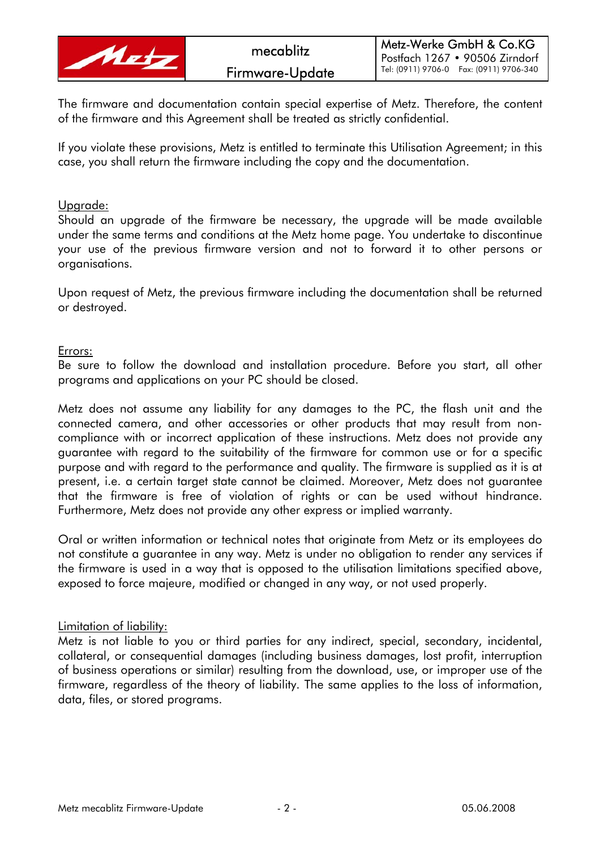

The firmware and documentation contain special expertise of Metz. Therefore, the content of the firmware and this Agreement shall be treated as strictly confidential.

If you violate these provisions, Metz is entitled to terminate this Utilisation Agreement; in this case, you shall return the firmware including the copy and the documentation.

#### Upgrade:

Should an upgrade of the firmware be necessary, the upgrade will be made available under the same terms and conditions at the Metz home page. You undertake to discontinue your use of the previous firmware version and not to forward it to other persons or organisations.

Upon request of Metz, the previous firmware including the documentation shall be returned or destroyed.

#### Errors:

Be sure to follow the download and installation procedure. Before you start, all other programs and applications on your PC should be closed.

Metz does not assume any liability for any damages to the PC, the flash unit and the connected camera, and other accessories or other products that may result from noncompliance with or incorrect application of these instructions. Metz does not provide any guarantee with regard to the suitability of the firmware for common use or for a specific purpose and with regard to the performance and quality. The firmware is supplied as it is at present, i.e. a certain target state cannot be claimed. Moreover, Metz does not guarantee that the firmware is free of violation of rights or can be used without hindrance. Furthermore, Metz does not provide any other express or implied warranty.

Oral or written information or technical notes that originate from Metz or its employees do not constitute a guarantee in any way. Metz is under no obligation to render any services if the firmware is used in a way that is opposed to the utilisation limitations specified above, exposed to force majeure, modified or changed in any way, or not used properly.

### Limitation of liability:

Metz is not liable to you or third parties for any indirect, special, secondary, incidental, collateral, or consequential damages (including business damages, lost profit, interruption of business operations or similar) resulting from the download, use, or improper use of the firmware, regardless of the theory of liability. The same applies to the loss of information, data, files, or stored programs.